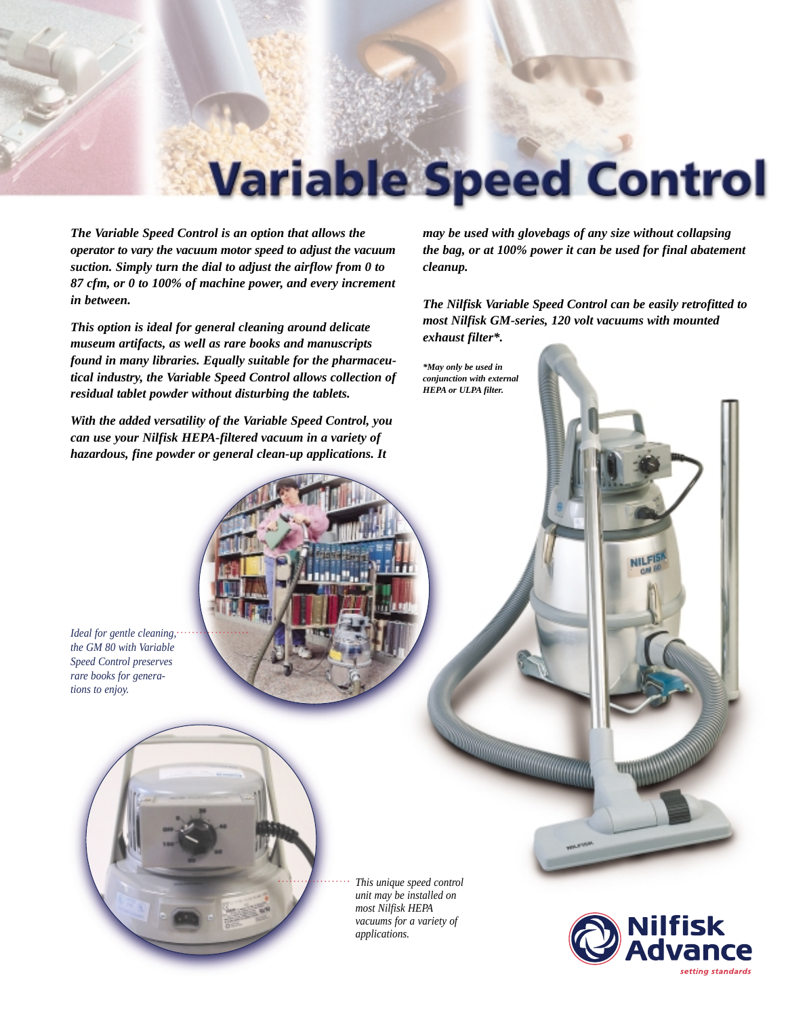

*The Variable Speed Control is an option that allows the operator to vary the vacuum motor speed to adjust the vacuum suction. Simply turn the dial to adjust the airflow from 0 to 87 cfm, or 0 to 100% of machine power, and every increment in between.*

*This option is ideal for general cleaning around delicate museum artifacts, as well as rare books and manuscripts found in many libraries. Equally suitable for the pharmaceutical industry, the Variable Speed Control allows collection of residual tablet powder without disturbing the tablets.*

*With the added versatility of the Variable Speed Control, you can use your Nilfisk HEPA-filtered vacuum in a variety of hazardous, fine powder or general clean-up applications. It*

*may be used with glovebags of any size without collapsing the bag, or at 100% power it can be used for final abatement cleanup.*

*The Nilfisk Variable Speed Control can be easily retrofitted to most Nilfisk GM-series, 120 volt vacuums with mounted exhaust filter\*.*

*\*May only be used in conjunction with external HEPA or ULPA filter.*

*Ideal for gentle cleaning, the GM 80 with Variable Speed Control preserves rare books for generations to enjoy.*

> *This unique speed control unit may be installed on most Nilfisk HEPA vacuums for a variety of applications.*